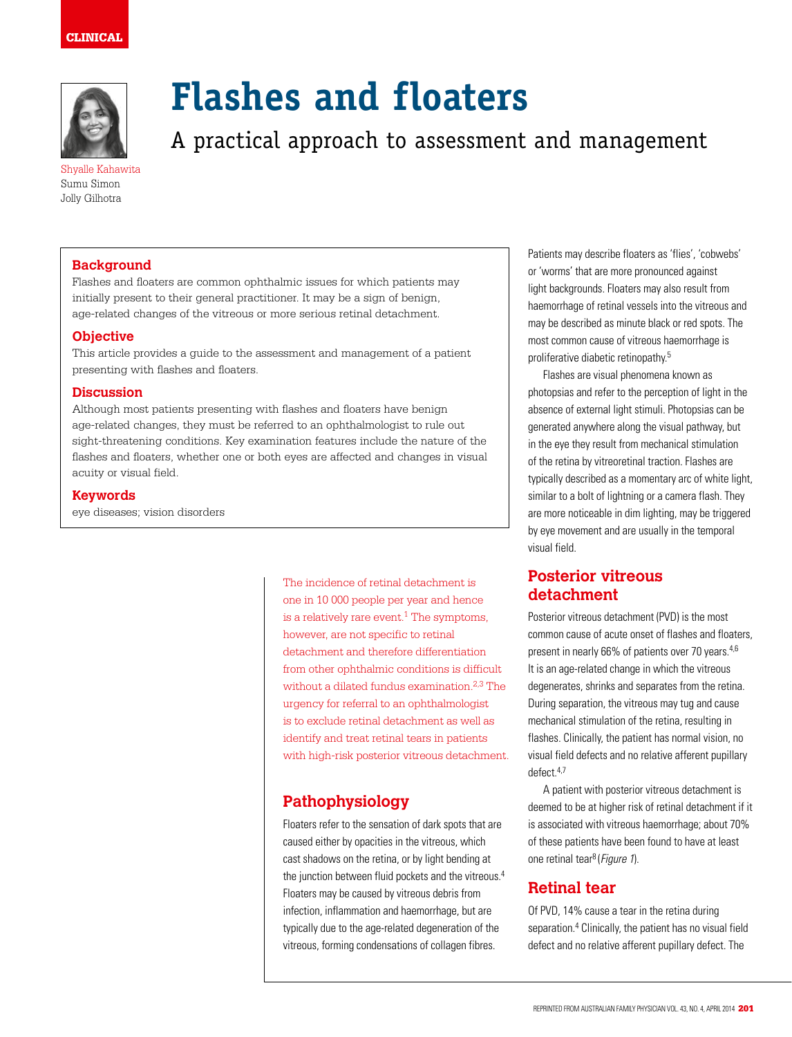

Shyalle Kahawita Sumu Simon Jolly Gilhotra

# **Flashes and floaters**

A practical approach to assessment and management

# **Background**

Flashes and floaters are common ophthalmic issues for which patients may initially present to their general practitioner. It may be a sign of benign, age-related changes of the vitreous or more serious retinal detachment.

# **Objective**

This article provides a guide to the assessment and management of a patient presenting with flashes and floaters.

## **Discussion**

Although most patients presenting with flashes and floaters have benign age-related changes, they must be referred to an ophthalmologist to rule out sight-threatening conditions. Key examination features include the nature of the flashes and floaters, whether one or both eyes are affected and changes in visual acuity or visual field.

## **Keywords**

eye diseases; vision disorders

The incidence of retinal detachment is one in 10 000 people per year and hence is a relatively rare event.<sup>1</sup> The symptoms, however, are not specific to retinal detachment and therefore differentiation from other ophthalmic conditions is difficult without a dilated fundus examination.2,3 The urgency for referral to an ophthalmologist is to exclude retinal detachment as well as identify and treat retinal tears in patients with high-risk posterior vitreous detachment.

# **Pathophysiology**

Floaters refer to the sensation of dark spots that are caused either by opacities in the vitreous, which cast shadows on the retina, or by light bending at the junction between fluid pockets and the vitreous.<sup>4</sup> Floaters may be caused by vitreous debris from infection, inflammation and haemorrhage, but are typically due to the age-related degeneration of the vitreous, forming condensations of collagen fibres.

Patients may describe floaters as 'flies', 'cobwebs' or 'worms' that are more pronounced against light backgrounds. Floaters may also result from haemorrhage of retinal vessels into the vitreous and may be described as minute black or red spots. The most common cause of vitreous haemorrhage is proliferative diabetic retinopathy.5

Flashes are visual phenomena known as photopsias and refer to the perception of light in the absence of external light stimuli. Photopsias can be generated anywhere along the visual pathway, but in the eye they result from mechanical stimulation of the retina by vitreoretinal traction. Flashes are typically described as a momentary arc of white light, similar to a bolt of lightning or a camera flash. They are more noticeable in dim lighting, may be triggered by eye movement and are usually in the temporal visual field.

# **Posterior vitreous detachment**

Posterior vitreous detachment (PVD) is the most common cause of acute onset of flashes and floaters, present in nearly 66% of patients over 70 years.<sup>4,6</sup> It is an age-related change in which the vitreous degenerates, shrinks and separates from the retina. During separation, the vitreous may tug and cause mechanical stimulation of the retina, resulting in flashes. Clinically, the patient has normal vision, no visual field defects and no relative afferent pupillary defect<sup>4,7</sup>

A patient with posterior vitreous detachment is deemed to be at higher risk of retinal detachment if it is associated with vitreous haemorrhage; about 70% of these patients have been found to have at least one retinal tear<sup>8</sup> (Figure 1).

# **Retinal tear**

Of PVD, 14% cause a tear in the retina during separation.<sup>4</sup> Clinically, the patient has no visual field defect and no relative afferent pupillary defect. The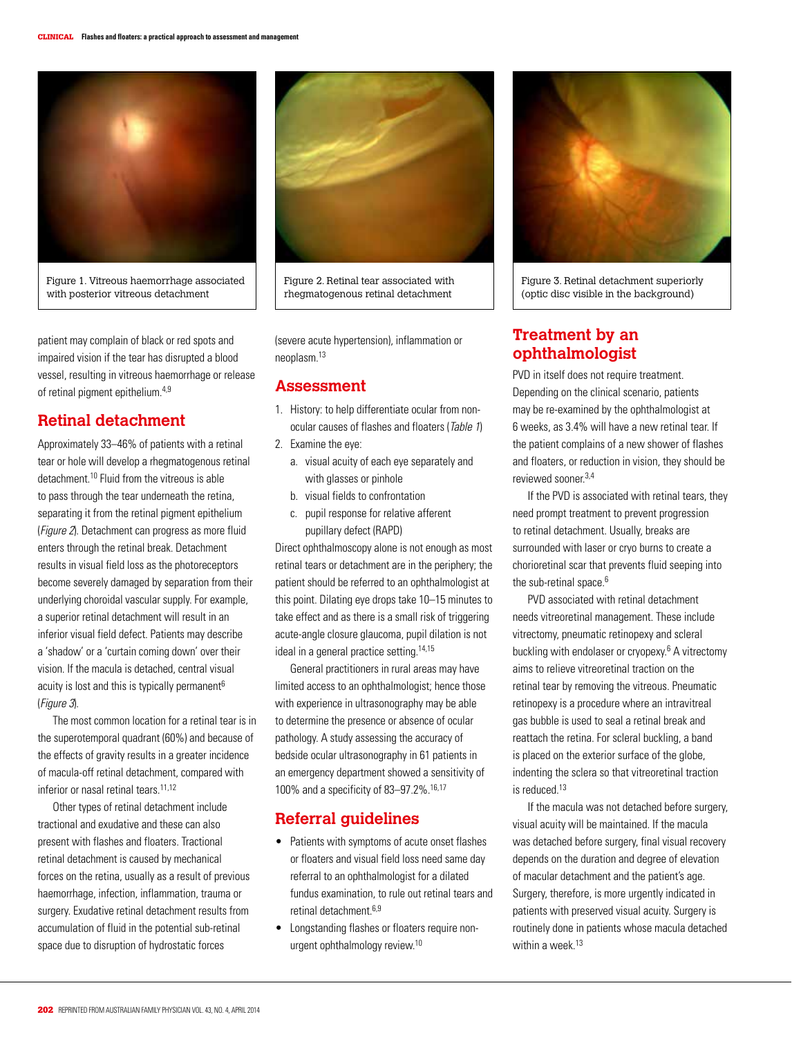

Figure 1. Vitreous haemorrhage associated with posterior vitreous detachment

patient may complain of black or red spots and impaired vision if the tear has disrupted a blood vessel, resulting in vitreous haemorrhage or release of retinal pigment epithelium.4,9

# **Retinal detachment**

Approximately 33–46% of patients with a retinal tear or hole will develop a rhegmatogenous retinal detachment.10 Fluid from the vitreous is able to pass through the tear underneath the retina, separating it from the retinal pigment epithelium (Figure 2). Detachment can progress as more fluid enters through the retinal break. Detachment results in visual field loss as the photoreceptors become severely damaged by separation from their underlying choroidal vascular supply. For example, a superior retinal detachment will result in an inferior visual field defect. Patients may describe a 'shadow' or a 'curtain coming down' over their vision. If the macula is detached, central visual acuity is lost and this is typically permanent<sup>6</sup> (Figure 3).

The most common location for a retinal tear is in the superotemporal quadrant (60%) and because of the effects of gravity results in a greater incidence of macula-off retinal detachment, compared with inferior or nasal retinal tears.<sup>11,12</sup>

Other types of retinal detachment include tractional and exudative and these can also present with flashes and floaters. Tractional retinal detachment is caused by mechanical forces on the retina, usually as a result of previous haemorrhage, infection, inflammation, trauma or surgery. Exudative retinal detachment results from accumulation of fluid in the potential sub-retinal space due to disruption of hydrostatic forces



Figure 2. Retinal tear associated with rhegmatogenous retinal detachment

(severe acute hypertension), inflammation or neoplasm.13

## **Assessment**

- 1. History: to help differentiate ocular from nonocular causes of flashes and floaters (Table 1)
- 2. Examine the eye:
	- a. visual acuity of each eye separately and with glasses or pinhole
	- b. visual fields to confrontation
	- c. pupil response for relative afferent pupillary defect (RAPD)

Direct ophthalmoscopy alone is not enough as most retinal tears or detachment are in the periphery; the patient should be referred to an ophthalmologist at this point. Dilating eye drops take 10–15 minutes to take effect and as there is a small risk of triggering acute-angle closure glaucoma, pupil dilation is not ideal in a general practice setting.<sup>14,15</sup>

General practitioners in rural areas may have limited access to an ophthalmologist; hence those with experience in ultrasonography may be able to determine the presence or absence of ocular pathology. A study assessing the accuracy of bedside ocular ultrasonography in 61 patients in an emergency department showed a sensitivity of 100% and a specificity of 83–97.2%.16,17

# **Referral guidelines**

- Patients with symptoms of acute onset flashes or floaters and visual field loss need same day referral to an ophthalmologist for a dilated fundus examination, to rule out retinal tears and retinal detachment 6,9
- Longstanding flashes or floaters require nonurgent ophthalmology review.10



Figure 3. Retinal detachment superiorly (optic disc visible in the background)

# **Treatment by an ophthalmologist**

PVD in itself does not require treatment. Depending on the clinical scenario, patients may be re-examined by the ophthalmologist at 6 weeks, as 3.4% will have a new retinal tear. If the patient complains of a new shower of flashes and floaters, or reduction in vision, they should be reviewed sooner.3,4

If the PVD is associated with retinal tears, they need prompt treatment to prevent progression to retinal detachment. Usually, breaks are surrounded with laser or cryo burns to create a chorioretinal scar that prevents fluid seeping into the sub-retinal space.<sup>6</sup>

PVD associated with retinal detachment needs vitreoretinal management. These include vitrectomy, pneumatic retinopexy and scleral buckling with endolaser or cryopexy.<sup>6</sup> A vitrectomy aims to relieve vitreoretinal traction on the retinal tear by removing the vitreous. Pneumatic retinopexy is a procedure where an intravitreal gas bubble is used to seal a retinal break and reattach the retina. For scleral buckling, a band is placed on the exterior surface of the globe, indenting the sclera so that vitreoretinal traction is reduced.13

If the macula was not detached before surgery, visual acuity will be maintained. If the macula was detached before surgery, final visual recovery depends on the duration and degree of elevation of macular detachment and the patient's age. Surgery, therefore, is more urgently indicated in patients with preserved visual acuity. Surgery is routinely done in patients whose macula detached within a week.<sup>13</sup>